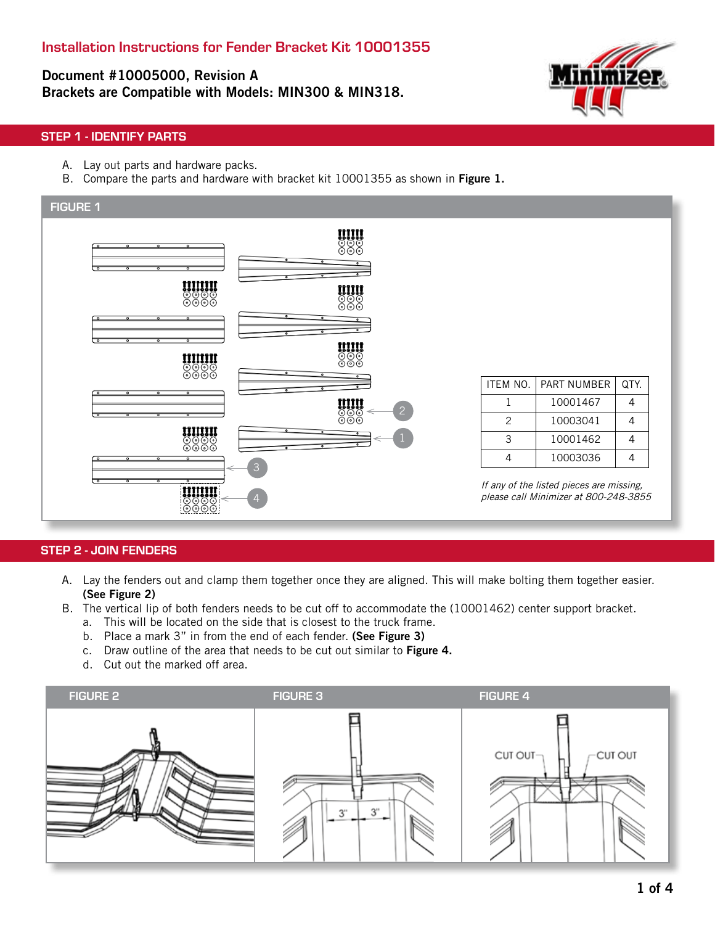Document #10005000, Revision A Brackets are Compatible with Models: MIN300 & MIN318.



# STEP 1 - IDENTIFY PARTS

- A. Lay out parts and hardware packs.
- B. Compare the parts and hardware with bracket kit 10001355 as shown in Figure 1.



### STEP 2 - JOIN FENDERS

- A. Lay the fenders out and clamp them together once they are aligned. This will make bolting them together easier. (See Figure 2)
- B. The vertical lip of both fenders needs to be cut off to accommodate the (10001462) center support bracket.
	- a. This will be located on the side that is closest to the truck frame.
	- b. Place a mark 3" in from the end of each fender. (See Figure 3)
	- c. Draw outline of the area that needs to be cut out similar to Figure 4.
	- d. Cut out the marked off area.

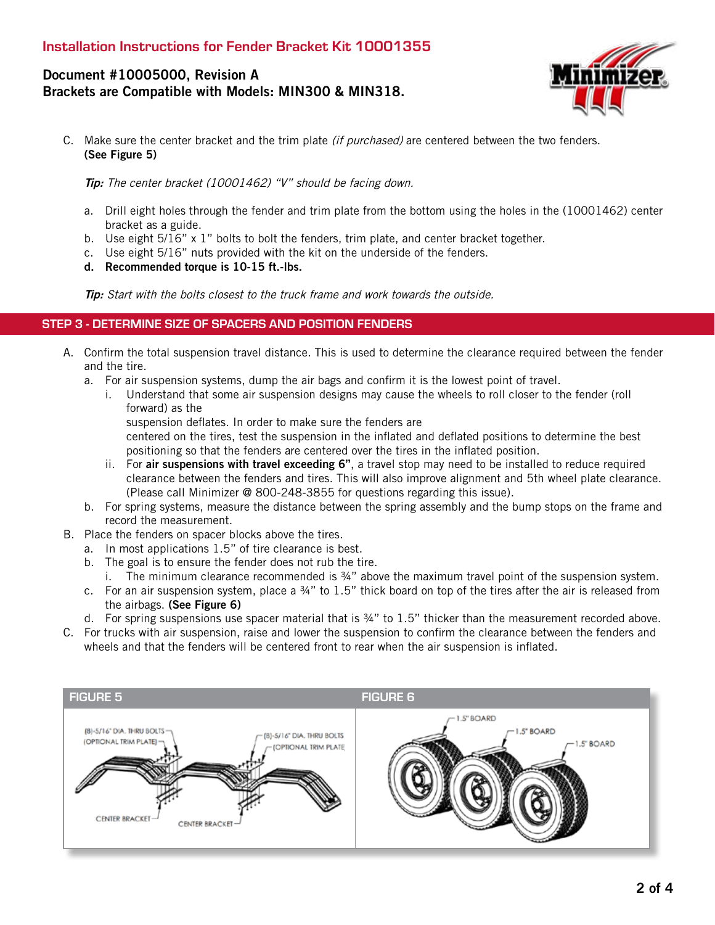# Document #10005000, Revision A Brackets are Compatible with Models: MIN300 & MIN318.



C. Make sure the center bracket and the trim plate *(if purchased)* are centered between the two fenders. (See Figure 5)

Tip: The center bracket (10001462) "V" should be facing down.

- a. Drill eight holes through the fender and trim plate from the bottom using the holes in the (10001462) center bracket as a guide.
- b. Use eight  $5/16$ " x 1" bolts to bolt the fenders, trim plate, and center bracket together.
- c. Use eight 5/16" nuts provided with the kit on the underside of the fenders.
- d. Recommended torque is 10-15 ft.-lbs.

Tip: Start with the bolts closest to the truck frame and work towards the outside.

#### STEP 3 - DETERMINE SIZE OF SPACERS AND POSITION FENDERS

- A. Confirm the total suspension travel distance. This is used to determine the clearance required between the fender and the tire.
	- a. For air suspension systems, dump the air bags and confirm it is the lowest point of travel.
		- i. Understand that some air suspension designs may cause the wheels to roll closer to the fender (roll forward) as the
			- suspension deflates. In order to make sure the fenders are

centered on the tires, test the suspension in the inflated and deflated positions to determine the best positioning so that the fenders are centered over the tires in the inflated position.

- ii. For air suspensions with travel exceeding  $6$ ", a travel stop may need to be installed to reduce required clearance between the fenders and tires. This will also improve alignment and 5th wheel plate clearance. (Please call Minimizer @ 800-248-3855 for questions regarding this issue).
- b. For spring systems, measure the distance between the spring assembly and the bump stops on the frame and record the measurement.
- B. Place the fenders on spacer blocks above the tires.
	- a. In most applications 1.5" of tire clearance is best.
	- b. The goal is to ensure the fender does not rub the tire.
		- i. The minimum clearance recommended is ¾" above the maximum travel point of the suspension system.
	- c. For an air suspension system, place a ¾" to 1.5" thick board on top of the tires after the air is released from the airbags. (See Figure 6)
	- d. For spring suspensions use spacer material that is ¾" to 1.5" thicker than the measurement recorded above.
- C. For trucks with air suspension, raise and lower the suspension to confirm the clearance between the fenders and wheels and that the fenders will be centered front to rear when the air suspension is inflated.

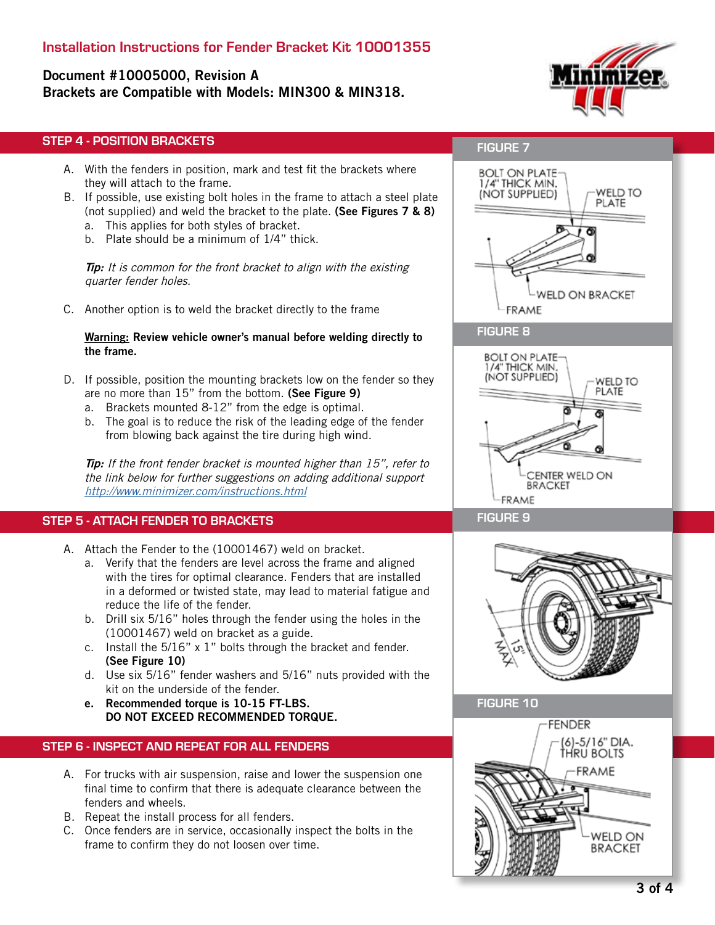# Installation Instructions for Fender Bracket Kit 10001355

# Document #10005000, Revision A Brackets are Compatible with Models: MIN300 & MIN318.



# STEP 4 - POSITION BRACKETS

- A. With the fenders in position, mark and test fit the brackets where they will attach to the frame.
- B. If possible, use existing bolt holes in the frame to attach a steel plate (not supplied) and weld the bracket to the plate. (See Figures 7 & 8)
	- a. This applies for both styles of bracket.
	- b. Plate should be a minimum of 1/4" thick.

**Tip:** It is common for the front bracket to align with the existing quarter fender holes.

C. Another option is to weld the bracket directly to the frame

#### Warning: Review vehicle owner's manual before welding directly to the frame.

- D. If possible, position the mounting brackets low on the fender so they are no more than 15" from the bottom. (See Figure 9)
	- a. Brackets mounted 8-12" from the edge is optimal.
	- b. The goal is to reduce the risk of the leading edge of the fender from blowing back against the tire during high wind.

**Tip:** If the front fender bracket is mounted higher than 15", refer to the link below for further suggestions on adding additional support http://www.minimizer.com/instructions.html

# STEP 5 - ATTACH FENDER TO BRACKETS

- A. Attach the Fender to the (10001467) weld on bracket.
	- a. Verify that the fenders are level across the frame and aligned with the tires for optimal clearance. Fenders that are installed in a deformed or twisted state, may lead to material fatigue and reduce the life of the fender.
	- b. Drill six 5/16" holes through the fender using the holes in the (10001467) weld on bracket as a guide.
	- c. Install the 5/16" x 1" bolts through the bracket and fender. (See Figure 10)
	- d. Use six 5/16" fender washers and 5/16" nuts provided with the kit on the underside of the fender.
	- e. Recommended torque is 10-15 FT-LBS. DO NOT EXCEED RECOMMENDED TORQUE.

## STEP 6 - INSPECT AND REPEAT FOR ALL FENDERS

- A. For trucks with air suspension, raise and lower the suspension one final time to confirm that there is adequate clearance between the fenders and wheels.
- B. Repeat the install process for all fenders.
- C. Once fenders are in service, occasionally inspect the bolts in the frame to confirm they do not loosen over time.

# FIGURE 7



# **BOLT ON PLATE-**1/4" THICK MIN. (NOT SUPPLIED) WELD TO PLATE CENTER WELD ON **BRACKET** FRAME





FIGURE 9